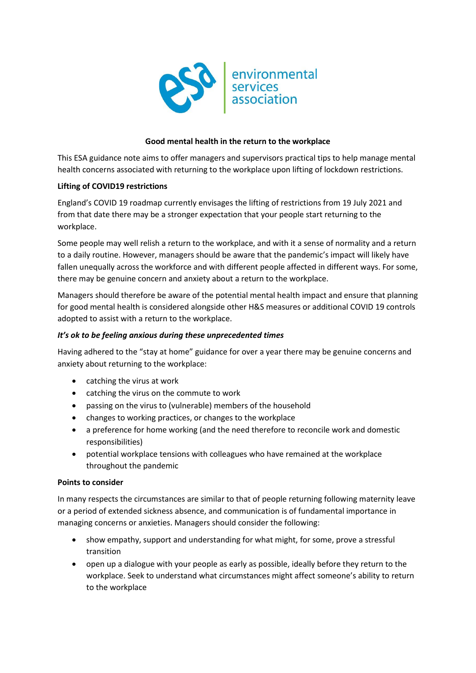

# **Good mental health in the return to the workplace**

This ESA guidance note aims to offer managers and supervisors practical tips to help manage mental health concerns associated with returning to the workplace upon lifting of lockdown restrictions.

# **Lifting of COVID19 restrictions**

England's COVID 19 roadmap currently envisages the lifting of restrictions from 19 July 2021 and from that date there may be a stronger expectation that your people start returning to the workplace.

Some people may well relish a return to the workplace, and with it a sense of normality and a return to a daily routine. However, managers should be aware that the pandemic's impact will likely have fallen unequally across the workforce and with different people affected in different ways. For some, there may be genuine concern and anxiety about a return to the workplace.

Managers should therefore be aware of the potential mental health impact and ensure that planning for good mental health is considered alongside other H&S measures or additional COVID 19 controls adopted to assist with a return to the workplace.

### *It's ok to be feeling anxious during these unprecedented times*

Having adhered to the "stay at home" guidance for over a year there may be genuine concerns and anxiety about returning to the workplace:

- catching the virus at work
- catching the virus on the commute to work
- passing on the virus to (vulnerable) members of the household
- changes to working practices, or changes to the workplace
- a preference for home working (and the need therefore to reconcile work and domestic responsibilities)
- potential workplace tensions with colleagues who have remained at the workplace throughout the pandemic

#### **Points to consider**

In many respects the circumstances are similar to that of people returning following maternity leave or a period of extended sickness absence, and communication is of fundamental importance in managing concerns or anxieties. Managers should consider the following:

- show empathy, support and understanding for what might, for some, prove a stressful transition
- open up a dialogue with your people as early as possible, ideally before they return to the workplace. Seek to understand what circumstances might affect someone's ability to return to the workplace